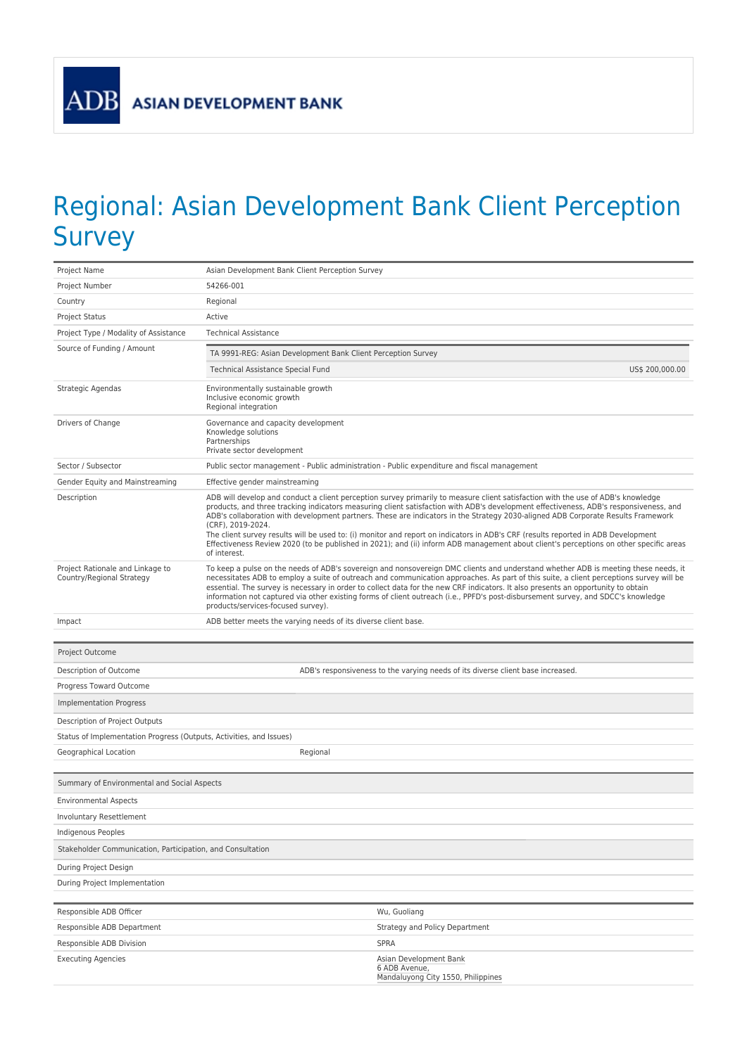ADB

## Regional: Asian Development Bank Client Perception Survey

| Project Name                                                        | Asian Development Bank Client Perception Survey                                                                                                                                                                                                                                                                                                                                                                                                                                                                                                                                                                                                                                                                                   |                                                                                 |  |  |  |
|---------------------------------------------------------------------|-----------------------------------------------------------------------------------------------------------------------------------------------------------------------------------------------------------------------------------------------------------------------------------------------------------------------------------------------------------------------------------------------------------------------------------------------------------------------------------------------------------------------------------------------------------------------------------------------------------------------------------------------------------------------------------------------------------------------------------|---------------------------------------------------------------------------------|--|--|--|
| Project Number                                                      | 54266-001                                                                                                                                                                                                                                                                                                                                                                                                                                                                                                                                                                                                                                                                                                                         |                                                                                 |  |  |  |
| Country                                                             | Regional                                                                                                                                                                                                                                                                                                                                                                                                                                                                                                                                                                                                                                                                                                                          |                                                                                 |  |  |  |
| <b>Project Status</b>                                               | Active                                                                                                                                                                                                                                                                                                                                                                                                                                                                                                                                                                                                                                                                                                                            |                                                                                 |  |  |  |
| Project Type / Modality of Assistance                               | <b>Technical Assistance</b>                                                                                                                                                                                                                                                                                                                                                                                                                                                                                                                                                                                                                                                                                                       |                                                                                 |  |  |  |
| Source of Funding / Amount                                          | TA 9991-REG: Asian Development Bank Client Perception Survey                                                                                                                                                                                                                                                                                                                                                                                                                                                                                                                                                                                                                                                                      |                                                                                 |  |  |  |
|                                                                     | Technical Assistance Special Fund                                                                                                                                                                                                                                                                                                                                                                                                                                                                                                                                                                                                                                                                                                 | US\$ 200,000.00                                                                 |  |  |  |
| Strategic Agendas                                                   | Environmentally sustainable growth<br>Inclusive economic growth<br>Regional integration                                                                                                                                                                                                                                                                                                                                                                                                                                                                                                                                                                                                                                           |                                                                                 |  |  |  |
| Drivers of Change                                                   | Governance and capacity development<br>Knowledge solutions<br>Partnerships<br>Private sector development                                                                                                                                                                                                                                                                                                                                                                                                                                                                                                                                                                                                                          |                                                                                 |  |  |  |
| Sector / Subsector                                                  | Public sector management - Public administration - Public expenditure and fiscal management                                                                                                                                                                                                                                                                                                                                                                                                                                                                                                                                                                                                                                       |                                                                                 |  |  |  |
| Gender Equity and Mainstreaming                                     | Effective gender mainstreaming                                                                                                                                                                                                                                                                                                                                                                                                                                                                                                                                                                                                                                                                                                    |                                                                                 |  |  |  |
| Description                                                         | ADB will develop and conduct a client perception survey primarily to measure client satisfaction with the use of ADB's knowledge<br>products, and three tracking indicators measuring client satisfaction with ADB's development effectiveness, ADB's responsiveness, and<br>ADB's collaboration with development partners. These are indicators in the Strategy 2030-aligned ADB Corporate Results Framework<br>(CRF), 2019-2024.<br>The client survey results will be used to: (i) monitor and report on indicators in ADB's CRF (results reported in ADB Development<br>Effectiveness Review 2020 (to be published in 2021); and (ii) inform ADB management about client's perceptions on other specific areas<br>of interest. |                                                                                 |  |  |  |
| Project Rationale and Linkage to<br>Country/Regional Strategy       | To keep a pulse on the needs of ADB's sovereign and nonsovereign DMC clients and understand whether ADB is meeting these needs, it<br>necessitates ADB to employ a suite of outreach and communication approaches. As part of this suite, a client perceptions survey will be<br>essential. The survey is necessary in order to collect data for the new CRF indicators. It also presents an opportunity to obtain<br>information not captured via other existing forms of client outreach (i.e., PPFD's post-disbursement survey, and SDCC's knowledge<br>products/services-focused survey).                                                                                                                                     |                                                                                 |  |  |  |
| Impact                                                              | ADB better meets the varying needs of its diverse client base.                                                                                                                                                                                                                                                                                                                                                                                                                                                                                                                                                                                                                                                                    |                                                                                 |  |  |  |
|                                                                     |                                                                                                                                                                                                                                                                                                                                                                                                                                                                                                                                                                                                                                                                                                                                   |                                                                                 |  |  |  |
| Project Outcome                                                     |                                                                                                                                                                                                                                                                                                                                                                                                                                                                                                                                                                                                                                                                                                                                   |                                                                                 |  |  |  |
| Description of Outcome                                              |                                                                                                                                                                                                                                                                                                                                                                                                                                                                                                                                                                                                                                                                                                                                   | ADB's responsiveness to the varying needs of its diverse client base increased. |  |  |  |
| Progress Toward Outcome                                             |                                                                                                                                                                                                                                                                                                                                                                                                                                                                                                                                                                                                                                                                                                                                   |                                                                                 |  |  |  |
| <b>Implementation Progress</b>                                      |                                                                                                                                                                                                                                                                                                                                                                                                                                                                                                                                                                                                                                                                                                                                   |                                                                                 |  |  |  |
| Description of Project Outputs                                      |                                                                                                                                                                                                                                                                                                                                                                                                                                                                                                                                                                                                                                                                                                                                   |                                                                                 |  |  |  |
| Status of Implementation Progress (Outputs, Activities, and Issues) |                                                                                                                                                                                                                                                                                                                                                                                                                                                                                                                                                                                                                                                                                                                                   |                                                                                 |  |  |  |
| Geographical Location                                               | Regional                                                                                                                                                                                                                                                                                                                                                                                                                                                                                                                                                                                                                                                                                                                          |                                                                                 |  |  |  |
|                                                                     |                                                                                                                                                                                                                                                                                                                                                                                                                                                                                                                                                                                                                                                                                                                                   |                                                                                 |  |  |  |
| Summary of Environmental and Social Aspects                         |                                                                                                                                                                                                                                                                                                                                                                                                                                                                                                                                                                                                                                                                                                                                   |                                                                                 |  |  |  |
| <b>Environmental Aspects</b>                                        |                                                                                                                                                                                                                                                                                                                                                                                                                                                                                                                                                                                                                                                                                                                                   |                                                                                 |  |  |  |
| Involuntary Resettlement                                            |                                                                                                                                                                                                                                                                                                                                                                                                                                                                                                                                                                                                                                                                                                                                   |                                                                                 |  |  |  |
| Indigenous Peoples                                                  |                                                                                                                                                                                                                                                                                                                                                                                                                                                                                                                                                                                                                                                                                                                                   |                                                                                 |  |  |  |
| Stakeholder Communication, Participation, and Consultation          |                                                                                                                                                                                                                                                                                                                                                                                                                                                                                                                                                                                                                                                                                                                                   |                                                                                 |  |  |  |
| During Project Design                                               |                                                                                                                                                                                                                                                                                                                                                                                                                                                                                                                                                                                                                                                                                                                                   |                                                                                 |  |  |  |
| During Project Implementation                                       |                                                                                                                                                                                                                                                                                                                                                                                                                                                                                                                                                                                                                                                                                                                                   |                                                                                 |  |  |  |
|                                                                     |                                                                                                                                                                                                                                                                                                                                                                                                                                                                                                                                                                                                                                                                                                                                   |                                                                                 |  |  |  |
| Responsible ADB Officer                                             |                                                                                                                                                                                                                                                                                                                                                                                                                                                                                                                                                                                                                                                                                                                                   | Wu, Guoliang                                                                    |  |  |  |
| Responsible ADB Department<br>Responsible ADB Division              |                                                                                                                                                                                                                                                                                                                                                                                                                                                                                                                                                                                                                                                                                                                                   | Strategy and Policy Department<br><b>SPRA</b>                                   |  |  |  |
| <b>Executing Agencies</b>                                           |                                                                                                                                                                                                                                                                                                                                                                                                                                                                                                                                                                                                                                                                                                                                   | Asian Development Bank                                                          |  |  |  |
|                                                                     |                                                                                                                                                                                                                                                                                                                                                                                                                                                                                                                                                                                                                                                                                                                                   | 6 ADB Avenue,<br>Mandaluyong City 1550, Philippines                             |  |  |  |